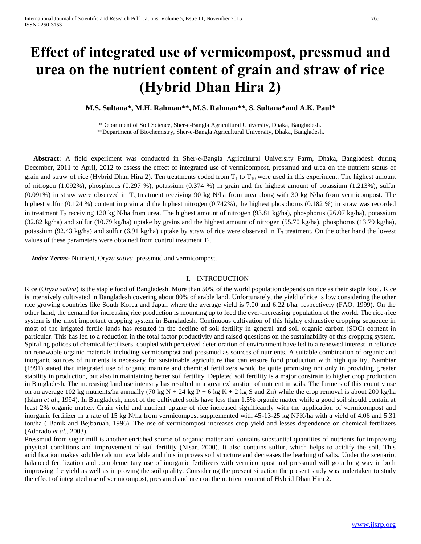# **Effect of integrated use of vermicompost, pressmud and urea on the nutrient content of grain and straw of rice (Hybrid Dhan Hira 2)**

**M.S. Sultana\*, M.H. Rahman\*\*, M.S. Rahman\*\*, S. Sultana\*and A.K. Paul\***

\*Department of Soil Science, Sher-e-Bangla Agricultural University, Dhaka, Bangladesh. \*\*Department of Biochemistry, Sher-e-Bangla Agricultural University, Dhaka, Bangladesh.

 **Abstract:** A field experiment was conducted in Sher-e-Bangla Agricultural University Farm, Dhaka, Bangladesh during December, 2011 to April, 2012 to assess the effect of integrated use of vermicompost, pressmud and urea on the nutrient status of grain and straw of rice (Hybrid Dhan Hira 2). Ten treatments coded from  $T_1$  to  $T_{10}$  were used in this experiment. The highest amount of nitrogen (1.092%), phosphorus (0.297 %), potassium (0.374 %) in grain and the highest amount of potassium (1.213%), sulfur (0.091%) in straw were observed in  $T_3$  treatment receiving 90 kg N/ha from urea along with 30 kg N/ha from vermicompost. The highest sulfur (0.124 %) content in grain and the highest nitrogen (0.742%), the highest phosphorus (0.182 %) in straw was recorded in treatment  $T_2$  receiving 120 kg N/ha from urea. The highest amount of nitrogen (93.81 kg/ha), phosphorus (26.07 kg/ha), potassium (32.82 kg/ha) and sulfur (10.79 kg/ha) uptake by grains and the highest amount of nitrogen (55.70 kg/ha), phosphorus (13.79 kg/ha), potassium (92.43 kg/ha) and sulfur (6.91 kg/ha) uptake by straw of rice were observed in  $T_3$  treatment. On the other hand the lowest values of these parameters were obtained from control treatment  $T_1$ .

 *Index Terms*- Nutrient, Ory*za sativa,* pressmud and vermicompost.

#### **I.** INTRODUCTION

Rice (Ory*za sativa*) is the staple food of Bangladesh. More than 50% of the world population depends on rice as their staple food. Rice is intensively cultivated in Bangladesh covering about 80% of arable land. Unfortunately, the yield of rice is low considering the other rice growing countries like South Korea and Japan where the average yield is 7.00 and 6.22 t/ha, respectively (FAO, 1999). On the other hand, the demand for increasing rice production is mounting up to feed the ever-increasing population of the world. The rice-rice system is the most important cropping system in Bangladesh. Continuous cultivation of this highly exhaustive cropping sequence in most of the irrigated fertile lands has resulted in the decline of soil fertility in general and soil organic carbon (SOC) content in particular. This has led to a reduction in the total factor productivity and raised questions on the sustainability of this cropping system. Spiraling polices of chemical fertilizers, coupled with perceived deterioration of environment have led to a renewed interest in reliance on renewable organic materials including vermicompost and pressmud as sources of nutrients. A suitable combination of organic and inorganic sources of nutrients is necessary for sustainable agriculture that can ensure food production with high quality. Nambiar (1991) stated that integrated use of organic manure and chemical fertilizers would be quite promising not only in providing greater stability in production, but also in maintaining better soil fertility. Depleted soil fertility is a major constrain to higher crop production in Bangladesh. The increasing land use intensity has resulted in a great exhaustion of nutrient in soils. The farmers of this country use on an average 102 kg nutrients/ha annually (70 kg N + 24 kg P + 6 kg K + 2 kg S and Zn) while the crop removal is about 200 kg/ha (Islam *et al*., 1994). In Bangladesh, most of the cultivated soils have less than 1.5% organic matter while a good soil should contain at least 2% organic matter. Grain yield and nutrient uptake of rice increased significantly with the application of vermicompost and inorganic fertilizer in a rate of 15 kg N/ha from vermicompost supplemented with 45-13-25 kg NPK/ha with a yield of 4.06 and 5.31 ton/ha ( Banik and Bejbaruah, 1996). The use of vermicompost increases crop yield and lesses dependence on chemical fertilizers (Adorado *et al*., 2003).

Pressmud from sugar mill is another enriched source of organic matter and contains substantial quantities of nutrients for improving physical conditions and improvement of soil fertility (Nisar, 2000). It also contains sulfur, which helps to acidify the soil. This acidification makes soluble calcium available and thus improves soil structure and decreases the leaching of salts. Under the scenario, balanced fertilization and complementary use of inorganic fertilizers with vermicompost and pressmud will go a long way in both improving the yield as well as improving the soil quality. Considering the present situation the present study was undertaken to study the effect of integrated use of vermicompost, pressmud and urea on the nutrient content of Hybrid Dhan Hira 2.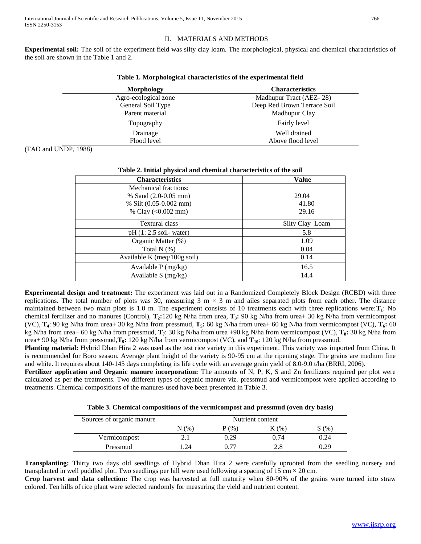# II. MATERIALS AND METHODS

**Experimental soil:** The soil of the experiment field was silty clay loam. The morphological, physical and chemical characteristics of the soil are shown in the Table 1 and 2.

| Morphology           | <b>Characteristics</b>      |
|----------------------|-----------------------------|
| Agro-ecological zone | Madhupur Tract (AEZ-28)     |
| General Soil Type    | Deep Red Brown Terrace Soil |
| Parent material      | Madhupur Clay               |
| Topography           | Fairly level                |
| Drainage             | Well drained                |
| Flood level          | Above flood level           |

**Table 1. Morphological characteristics of the experimental field**

(FAO and UNDP, 1988)

| Table 2. Initial physical and chemical characteristics of the soil |                 |  |  |  |
|--------------------------------------------------------------------|-----------------|--|--|--|
| <b>Characteristics</b>                                             | Value           |  |  |  |
| Mechanical fractions:                                              |                 |  |  |  |
| % Sand $(2.0-0.05$ mm)                                             | 29.04           |  |  |  |
| % Silt (0.05-0.002 mm)                                             | 41.80           |  |  |  |
| % Clay $(<0.002$ mm)                                               | 29.16           |  |  |  |
| <b>Textural class</b>                                              | Silty Clay Loam |  |  |  |
| $pH(1:2.5)$ soil-water)                                            | 5.8             |  |  |  |
| Organic Matter (%)                                                 | 1.09            |  |  |  |
| Total $N$ $(\%)$                                                   | 0.04            |  |  |  |
| Available K (meq/100g soil)                                        | 0.14            |  |  |  |
| Available $P$ (mg/kg)                                              | 16.5            |  |  |  |
| Available $S$ (mg/kg)                                              | 14.4            |  |  |  |

**Experimental design and treatment:** The experiment was laid out in a Randomized Completely Block Design (RCBD) with three replications. The total number of plots was 30, measuring 3 m  $\times$  3 m and ailes separated plots from each other. The distance maintained between two main plots is 1.0 m. The experiment consists of 10 treatments each with three replications were:**T1**: No chemical fertilizer and no manures (Control), **T2:**120 kg N/ha from urea, **T3:** 90 kg N/ha from urea+ 30 kg N/ha from vermicompost (VC), **T4**: 90 kg N/ha from urea+ 30 kg N/ha from pressmud, **T5:** 60 kg N/ha from urea+ 60 kg N/ha from vermicompost (VC), **T6:** 60 kg N/ha from urea+ 60 kg N/ha from pressmud, **T7**: 30 kg N/ha from urea +90 kg N/ha from vermicompost (VC), **T8:** 30 kg N/ha from urea+ 90 kg N/ha from pressmud,**T9:** 120 kg N/ha from vermicompost (VC), and **T10**: 120 kg N/ha from pressmud.

**Planting material:** Hybrid Dhan Hira 2 was used as the test rice variety in this experiment. This variety was imported from China. It is recommended for Boro season. Average plant height of the variety is 90-95 cm at the ripening stage. The grains are medium fine and white. It requires about 140-145 days completing its life cycle with an average grain yield of 8.0-9.0 t/ha (BRRI, 2006).

**Fertilizer application and Organic manure incorporation:** The amounts of N, P, K, S and Zn fertilizers required per plot were calculated as per the treatments. Two different types of organic manure viz. pressmud and vermicompost were applied according to treatments. Chemical compositions of the manures used have been presented in Table 3.

| Table 3. Chemical compositions of the vermicompost and pressmud (oven dry basis) |  |  |  |  |  |  |  |  |  |
|----------------------------------------------------------------------------------|--|--|--|--|--|--|--|--|--|
|----------------------------------------------------------------------------------|--|--|--|--|--|--|--|--|--|

| Sources of organic manure | Nutrient content |      |       |      |
|---------------------------|------------------|------|-------|------|
|                           | N (%`            | P(%) | K(% ) | S(%  |
| Vermicompost              | 2. l             | 0.29 | 0.74  | 0.24 |
| Pressmud                  | $\gamma_4$       | በ 77 | 2.8   | 0.29 |

**Transplanting:** Thirty two days old seedlings of Hybrid Dhan Hira 2 were carefully uprooted from the seedling nursery and transplanted in well puddled plot. Two seedlings per hill were used following a spacing of 15 cm  $\times$  20 cm.

**Crop harvest and data collection:** The crop was harvested at full maturity when 80-90% of the grains were turned into straw colored. Ten hills of rice plant were selected randomly for measuring the yield and nutrient content.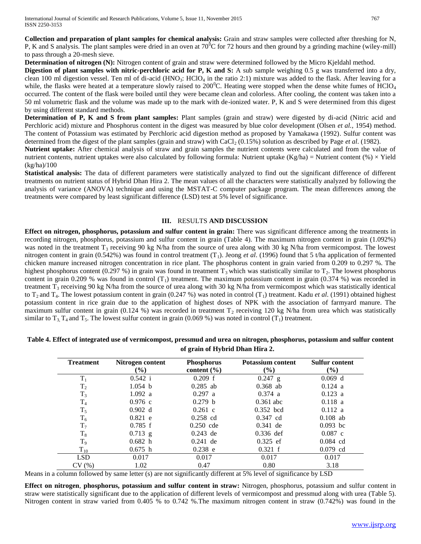**Collection and preparation of plant samples for chemical analysis:** Grain and straw samples were collected after threshing for N, P, K and S analysis. The plant samples were dried in an oven at  $70^{\circ}$ C for 72 hours and then ground by a grinding machine (wiley-mill) to pass through a 20-mesh sieve.

**Determination of nitrogen (N):** Nitrogen content of grain and straw were determined followed by the Micro Kjeldahl method.

**Digestion of plant samples with nitric-perchloric acid for P, K and S:** A sub sample weighing 0.5 g was transferred into a dry, clean 100 ml digestion vessel. Ten ml of di-acid ( $HNO<sub>3</sub>$ :  $HClO<sub>4</sub>$  in the ratio 2:1) mixture was added to the flask. After leaving for a while, the flasks were heated at a temperature slowly raised to 200 $^{\circ}$ C. Heating were stopped when the dense white fumes of HClO<sub>4</sub> occurred. The content of the flask were boiled until they were became clean and colorless. After cooling, the content was taken into a 50 ml volumetric flask and the volume was made up to the mark with de-ionized water. P, K and S were determined from this digest by using different standard methods.

**Determination of P, K and S from plant samples:** Plant samples (grain and straw) were digested by di-acid (Nitric acid and Perchloric acid) mixture and Phosphorus content in the digest was measured by blue color development (Olsen *et al.*, 1954) method. The content of Potassium was estimated by Perchloric acid digestion method as proposed by Yamakawa (1992). Sulfur content was determined from the digest of the plant samples (grain and straw) with CaCl<sub>2</sub> (0.15%) solution as described by Page *et al.* (1982).

**Nutrient uptake:** After chemical analysis of straw and grain samples the nutrient contents were calculated and from the value of nutrient contents, nutrient uptakes were also calculated by following formula: Nutrient uptake (Kg/ha) = Nutrient content (%)  $\times$  Yield (kg/ha)/100

**Statistical analysis:** The data of different parameters were statistically analyzed to find out the significant difference of different treatments on nutrient status of Hybrid Dhan Hira 2. The mean values of all the characters were statistically analyzed by following the analysis of variance (ANOVA) technique and using the MSTAT-C computer package program. The mean differences among the treatments were compared by least significant difference (LSD) test at 5% level of significance.

## **III.** RESULTS **AND DISCUSSION**

**Effect on nitrogen, phosphorus, potassium and sulfur content in grain:** There was significant difference among the treatments in recording nitrogen, phosphorus, potassium and sulfur content in grain (Table 4). The maximum nitrogen content in grain (1.092%) was noted in the treatment  $T_3$  receiving 90 kg N/ha from the source of urea along with 30 kg N/ha from vermicompost. The lowest nitrogen content in grain (0.542%) was found in control treatment (T<sub>1</sub>). Jeong *et al.* (1996) found that 5 t/ha application of fermented chicken manure increased nitrogen concentration in rice plant. The phosphorus content in grain varied from 0.209 to 0.297 %. The highest phosphorus content (0.297 %) in grain was found in treatment  $T_3$  which was statistically similar to  $T_2$ . The lowest phosphorus content in grain 0.209 % was found in control  $(T_1)$  treatment. The maximum potassium content in grain (0.374 %) was recorded in treatment T<sub>3</sub> receiving 90 kg N/ha from the source of urea along with 30 kg N/ha from vermicompost which was statistically identical to  $T_2$  and  $T_4$ . The lowest potassium content in grain (0.247 %) was noted in control  $(T_1)$  treatment. Kadu *et al.* (1991) obtained highest potassium content in rice grain due to the application of highest doses of NPK with the association of farmyard manure. The maximum sulfur content in grain (0.124 %) was recorded in treatment  $T_2$  receiving 120 kg N/ha from urea which was statistically similar to T<sub>3</sub>, T<sub>4</sub> and T<sub>5</sub>. The lowest sulfur content in grain (0.069 %) was noted in control (T<sub>1</sub>) treatment.

| <b>Treatment</b> | Nitrogen content | <b>Phosphorus</b> | <b>Potassium content</b> | <b>Sulfur content</b> |
|------------------|------------------|-------------------|--------------------------|-----------------------|
|                  | $\frac{6}{6}$    | content $(\% )$   | $\frac{6}{2}$            | (%)                   |
| $T_1$            | 0.542 i          | 0.209 f           | $0.247$ g                | 0.069 d               |
| T <sub>2</sub>   | 1.054 b          | $0.285$ ab        | $0.368$ ab               | $0.124$ a             |
| $T_3$            | 1.092 a          | $0.297$ a         | 0.374 a                  | $0.123$ a             |
| T <sub>4</sub>   | $0.976$ c        | 0.279 h           | $0.361$ abc              | $0.118$ a             |
| $T_5$            | 0.902 d          | $0.261$ c         | $0.352$ bcd              | 0.112 a               |
| $T_6$            | $0.821$ e        | $0.258$ cd        | $0.347$ cd               | $0.108$ ab            |
| $T_7$            | $0.785$ f        | $0.250$ cde       | $0.341$ de               | $0.093$ bc            |
| $T_8$            | $0.713$ g        | $0.243$ de        | $0.336$ def              | $0.087$ c             |
| $T_9$            | 0.682 h          | $0.241$ de        | $0.325$ ef               | $0.084$ cd            |
| $T_{10}$         | 0.675 h          | $0.238$ e         | 0.321 f                  | $0.079$ cd            |
| <b>LSD</b>       | 0.017            | 0.017             | 0.017                    | 0.017                 |
| CV(%)            | 1.02             | 0.47              | 0.80                     | 3.18                  |

**Table 4. Effect of integrated use of vermicompost, pressmud and urea on nitrogen, phosphorus, potassium and sulfur content of grain of Hybrid Dhan Hira 2.**

Means in a column followed by same letter (s) are not significantly different at 5% level of significance by LSD

**Effect on nitrogen**, **phosphorus, potassium and sulfur content in straw:** Nitrogen, phosphorus, potassium and sulfur content in straw were statistically significant due to the application of different levels of vermicompost and pressmud along with urea (Table 5). Nitrogen content in straw varied from 0.405 % to 0.742 %.The maximum nitrogen content in straw (0.742%) was found in the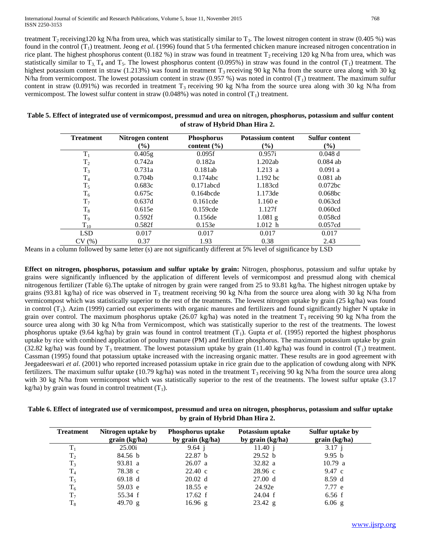treatment  $T_2$  receiving120 kg N/ha from urea, which was statistically similar to  $T_3$ . The lowest nitrogen content in straw (0.405 %) was found in the control (T<sub>1</sub>) treatment. Jeong *et al.* (1996) found that 5 t/ha fermented chicken manure increased nitrogen concentration in rice plant. The highest phosphorus content (0.182 %) in straw was found in treatment  $T_2$  receiving 120 kg N/ha from urea, which was statistically similar to  $T_3$ ,  $T_4$  and  $T_5$ . The lowest phosphorus content (0.095%) in straw was found in the control ( $T_1$ ) treatment. The highest potassium content in straw (1.213%) was found in treatment  $T_3$  receiving 90 kg N/ha from the source urea along with 30 kg N/ha from vermicompost. The lowest potassium content in straw (0.957 %) was noted in control  $(T_1)$  treatment. The maximum sulfur content in straw (0.091%) was recorded in treatment  $T_3$  receiving 90 kg N/ha from the source urea along with 30 kg N/ha from vermicompost. The lowest sulfur content in straw  $(0.048%)$  was noted in control  $(T_1)$  treatment.

| Table 5. Effect of integrated use of vermicompost, pressmud and urea on nitrogen, phosphorus, potassium and sulfur content |  |
|----------------------------------------------------------------------------------------------------------------------------|--|
| of straw of Hybrid Dhan Hira 2.                                                                                            |  |

| <b>Treatment</b> | Nitrogen content             | <b>Phosphorus</b> | <b>Potassium content</b> | <b>Sulfur content</b> |
|------------------|------------------------------|-------------------|--------------------------|-----------------------|
|                  | $\left( \frac{9}{6} \right)$ | content $(\% )$   | $\frac{9}{6}$            | $(\%)$                |
| $T_1$            | $0.405$ g                    | 0.095f            | 0.957i                   | 0.048 d               |
| T <sub>2</sub>   | 0.742a                       | 0.182a            | 1.202ab                  | $0.084$ ab            |
| $T_3$            | 0.731a                       | 0.181ab           | 1.213 a                  | 0.091a                |
| T <sub>4</sub>   | 0.704 <sub>b</sub>           | $0.174$ abc       | $1.192$ bc               | $0.081$ ab            |
| $T_5$            | 0.683c                       | $0.171$ abcd      | 1.183cd                  | 0.072 <sub>bc</sub>   |
| $T_6$            | 0.675c                       | $0.164$ bcde      | 1.173de                  | 0.068bc               |
| $T_7$            | 0.637d                       | $0.161$ cde       | 1.160 e                  | 0.063cd               |
| $T_8$            | 0.615e                       | $0.159$ cde       | 1.127f                   | 0.060cd               |
| T <sub>9</sub>   | 0.592f                       | 0.156de           | $1.081$ g                | 0.058cd               |
| $T_{10}$         | 0.582f                       | 0.153e            | 1.012 h                  | 0.057cd               |
| <b>LSD</b>       | 0.017                        | 0.017             | 0.017                    | 0.017                 |
| CV(%)            | 0.37                         | 1.93              | 0.38                     | 2.43                  |

Means in a column followed by same letter (s) are not significantly different at 5% level of significance by LSD

**Effect on nitrogen, phosphorus, potassium and sulfur uptake by grain:** Nitrogen, phosphorus, potassium and sulfur uptake by grains were significantly influenced by the application of different levels of vermicompost and pressmud along with chemical nitrogenous fertilizer (Table 6).The uptake of nitrogen by grain were ranged from 25 to 93.81 kg/ha. The highest nitrogen uptake by grains (93.81 kg/ha) of rice was observed in  $T_3$  treatment receiving 90 kg N/ha from the source urea along with 30 kg N/ha from vermicompost which was statistically superior to the rest of the treatments. The lowest nitrogen uptake by grain (25 kg/ha) was found in control  $(T_1)$ . Azim (1999) carried out experiments with organic manures and fertilizers and found significantly higher N uptake in grain over control. The maximum phosphorus uptake  $(26.07 \text{ kg/ha})$  was noted in the treatment T<sub>3</sub> receiving 90 kg N/ha from the source urea along with 30 kg N/ha from Vermicompost, which was statistically superior to the rest of the treatments. The lowest phosphorus uptake (9.64 kg/ha) by grain was found in control treatment (T<sub>1</sub>). Gupta *et al.* (1995) reported the highest phosphorus uptake by rice with combined application of poultry manure (PM) and fertilizer phosphorus. The maximum potassium uptake by grain (32.82 kg/ha) was found by T<sub>3</sub> treatment. The lowest potassium uptake by grain (11.40 kg/ha) was found in control (T<sub>1</sub>) treatment. Cassman (1995) found that potassium uptake increased with the increasing organic matter. These results are in good agreement with Jeegadeeswari *et al*. (2001) who reported increased potassium uptake in rice grain due to the application of cowdung along with NPK fertilizers. The maximum sulfur uptake (10.79 kg/ha) was noted in the treatment  $T_3$  receiving 90 kg N/ha from the source urea along with 30 kg N/ha from vermicompost which was statistically superior to the rest of the treatments. The lowest sulfur uptake (3.17) kg/ha) by grain was found in control treatment  $(T_1)$ .

| Table 6. Effect of integrated use of vermicompost, pressmud and urea on nitrogen, phosphorus, potassium and sulfur uptake |
|---------------------------------------------------------------------------------------------------------------------------|
| by grain of Hybrid Dhan Hira 2.                                                                                           |

| <b>Treatment</b> | Nitrogen uptake by<br>grain (kg/ha) | Phosphorus uptake<br>by grain (kg/ha) | Potassium uptake<br>by grain (kg/ha) | Sulfur uptake by<br>grain (kg/ha) |
|------------------|-------------------------------------|---------------------------------------|--------------------------------------|-----------------------------------|
| $T_1$            | 25.00i                              | $9.64 \text{ i}$                      | 11.40 i                              | 3.17 i                            |
| T <sub>2</sub>   | 84.56 b                             | 22.87 <sub>b</sub>                    | 29.52 b                              | 9.95 b                            |
| $T_3$            | 93.81 a                             | 26.07 a                               | 32.82 a                              | 10.79 a                           |
| T <sub>4</sub>   | 78.38 c                             | $22.40 \text{ c}$                     | 28.96c                               | 9.47 c                            |
| $T_5$            | $69.18 \text{ d}$                   | 20.02 d                               | 27.00 d                              | 8.59d                             |
| $T_6$            | $59.03$ e                           | 18.55 e                               | 24.92e                               | 7.77 e                            |
| $T_7$            | 55.34 f                             | 17.62 f                               | 24.04 f                              | 6.56 f                            |
| $T_8$            | 49.70 $g$                           | $16.96$ g                             | $23.42$ g                            | $6.06$ g                          |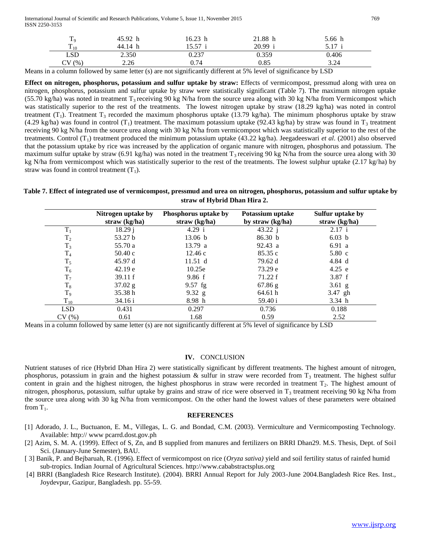International Journal of Scientific and Research Publications, Volume 5, Issue 11, November 2015 769 ISSN 2250-3153

| $\mathbf{1} \mathbf{0}$ | 45.92 h | 16.23 h | 21.88<br>h | 5.66 h         |
|-------------------------|---------|---------|------------|----------------|
| $\mathbf{r}$<br>$-10$   | 44.14 h | 15.57   | 20.99      | 5.17<br>، ۱۰ ت |
| LSD                     | 2.350   | 0.237   | 0.359      | 0.406          |
| (%<br>Cν                | 2.26    | 0.74    | 0.85       | 3.24           |

Means in a column followed by same letter (s) are not significantly different at 5% level of significance by LSD

**Effect on nitrogen, phosphorus, potassium and sulfur uptake by straw:** Effects of vermicompost, pressmud along with urea on nitrogen, phosphorus, potassium and sulfur uptake by straw were statistically significant (Table 7). The maximum nitrogen uptake (55.70 kg/ha) was noted in treatment  $T_3$  receiving 90 kg N/ha from the source urea along with 30 kg N/ha from Vermicompost which was statistically superior to the rest of the treatments. The lowest nitrogen uptake by straw (18.29 kg/ha) was noted in control treatment (T<sub>1</sub>). Treatment T<sub>3</sub> recorded the maximum phosphorus uptake (13.79 kg/ha). The minimum phosphorus uptake by straw (4.29 kg/ha) was found in control  $(T_1)$  treatment. The maximum potassium uptake (92.43 kg/ha) by straw was found in  $T_3$  treatment receiving 90 kg N/ha from the source urea along with 30 kg N/ha from vermicompost which was statistically superior to the rest of the treatments. Control (T1) treatment produced the minimum potassium uptake (43.22 kg/ha). Jeegadeeswari *et al*. (2001) also observed that the potassium uptake by rice was increased by the application of organic manure with nitrogen, phosphorus and potassium. The maximum sulfur uptake by straw (6.91 kg/ha) was noted in the treatment  $T_3$  receiving 90 kg N/ha from the source urea along with 30 kg N/ha from vermicompost which was statistically superior to the rest of the treatments. The lowest sulphur uptake (2.17 kg/ha) by straw was found in control treatment  $(T_1)$ .

# **Table 7. Effect of integrated use of vermicompost, pressmud and urea on nitrogen, phosphorus, potassium and sulfur uptake by straw of Hybrid Dhan Hira 2.**

|                | Nitrogen uptake by<br>straw $(kg/ha)$ | Phosphorus uptake by<br>straw (kg/ha) | Potassium uptake<br>by straw $(kg/ha)$ | Sulfur uptake by<br>straw (kg/ha) |
|----------------|---------------------------------------|---------------------------------------|----------------------------------------|-----------------------------------|
| $T_1$          | 18.29 j                               | 4.29 i                                | 43.22 j                                | 2.17 i                            |
| T <sub>2</sub> | 53.27 b                               | 13.06 b                               | 86.30 b                                | 6.03 b                            |
| $T_3$          | 55.70 a                               | 13.79 a                               | 92.43 a                                | 6.91 a                            |
| T <sub>4</sub> | 50.40c                                | 12.46c                                | 85.35c                                 | $5.80\text{ c}$                   |
| $T_5$          | 45.97d                                | 11.51 d                               | 79.62 d                                | 4.84 d                            |
| $T_6$          | 42.19 e                               | 10.25e                                | 73.29 e                                | 4.25 e                            |
| $T_7$          | 39.11 f                               | 9.86 f                                | 71.22 f                                | 3.87 f                            |
| $T_8$          | $37.02$ g                             | $9.57$ fg                             | $67.86$ g                              | $3.61$ g                          |
| $T_9$          | 35.38 h                               | 9.32 $g$                              | 64.61 h                                | 3.47 gh                           |
| $\rm T_{10}$   | 34.16 i                               | 8.98 h                                | 59.40 i                                | 3.34 h                            |
| <b>LSD</b>     | 0.431                                 | 0.297                                 | 0.736                                  | 0.188                             |
| CV(%)          | 0.61                                  | 1.68                                  | 0.59                                   | 2.52                              |

Means in a column followed by same letter (s) are not significantly different at 5% level of significance by LSD

#### **IV.** CONCLUSION

Nutrient statuses of rice (Hybrid Dhan Hira 2) were statistically significant by different treatments. The highest amount of nitrogen, phosphorus, potassium in grain and the highest potassium  $\&$  sulfur in straw were recorded from  $T_3$  treatment. The highest sulfur content in grain and the highest nitrogen, the highest phosphorus in straw were recorded in treatment  $T_2$ . The highest amount of nitrogen, phosphorus, potassium, sulfur uptake by grains and straw of rice were observed in  $T_3$  treatment receiving 90 kg N/ha from the source urea along with 30 kg N/ha from vermicompost. On the other hand the lowest values of these parameters were obtained from  $T_1$ .

### **REFERENCES**

- [1] Adorado, J. L., Buctuanon, E. M., Villegas, L. G. and Bondad, C.M. (2003). Vermiculture and Vermicomposting Technology. Available: http:// www pcarrd.dost.gov.ph
- [2] Azim, S. M. A. (1999). Effect of S, Zn, and B supplied from manures and fertilizers on BRRI Dhan29. M.S. Thesis, Dept. of Soil Sci. (January-June Semester), BAU.
- [ 3] Banik, P. and Bejbaruah, R. (1996). Effect of vermicompost on rice (*Oryza sativa)* yield and soil fertility status of rainfed humid sub-tropics. Indian Journal of Agricultural Sciences. http://www.cababstractsplus.org
- [4] BRRI (Bangladesh Rice Research Institute). (2004). BRRI Annual Report for July 2003-June 2004.Bangladesh Rice Res. Inst., Joydevpur, Gazipur, Bangladesh. pp. 55-59.